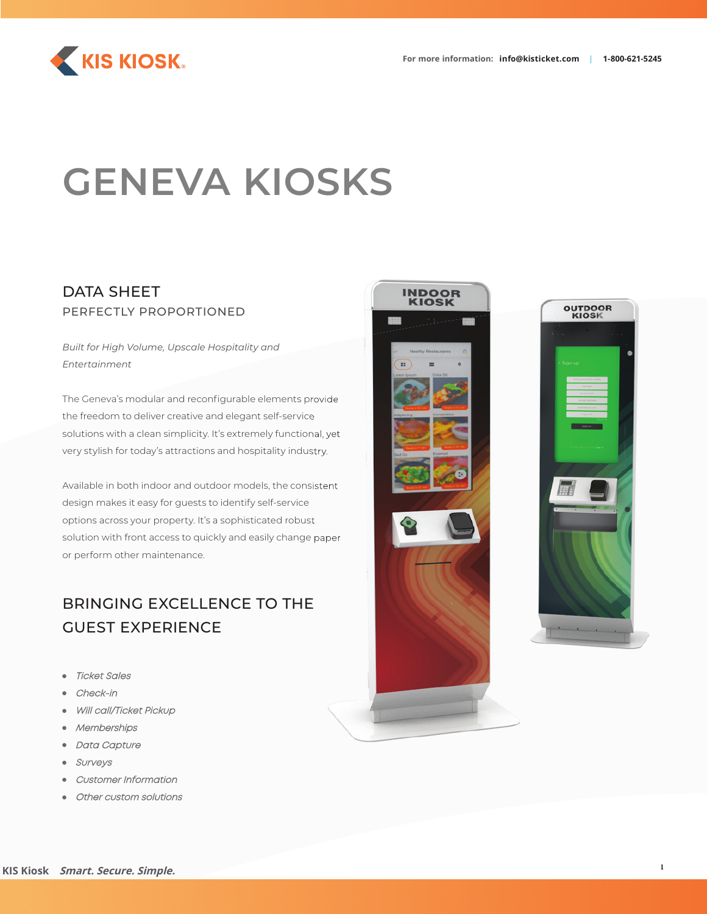



# **GENEVA KIOSKS**

### DATA SHEET PERFECTLY PROPORTIONED

*Built for High Volume, Upscale Hospitality and Entertainment*

The Geneva's modular and reconfigurable elements provide the freedom to deliver creative and elegant self-service solutions with a clean simplicity. It's extremely functional, yet very stylish for today's attractions and hospitality industry.

Available in both indoor and outdoor models, the consistent design makes it easy for guests to identify self-service options across your property. It's a sophisticated robust solution with front access to quickly and easily change paper or perform other maintenance.

### BRINGING EXCELLENCE TO THE GUEST EXPERIENCE

- Ticket Sales
- Check-in
- Will call/Ticket Pickup
- **Memberships**
- **Data Capture**
- **Surveys**
- Customer Information
- Other custom solutions



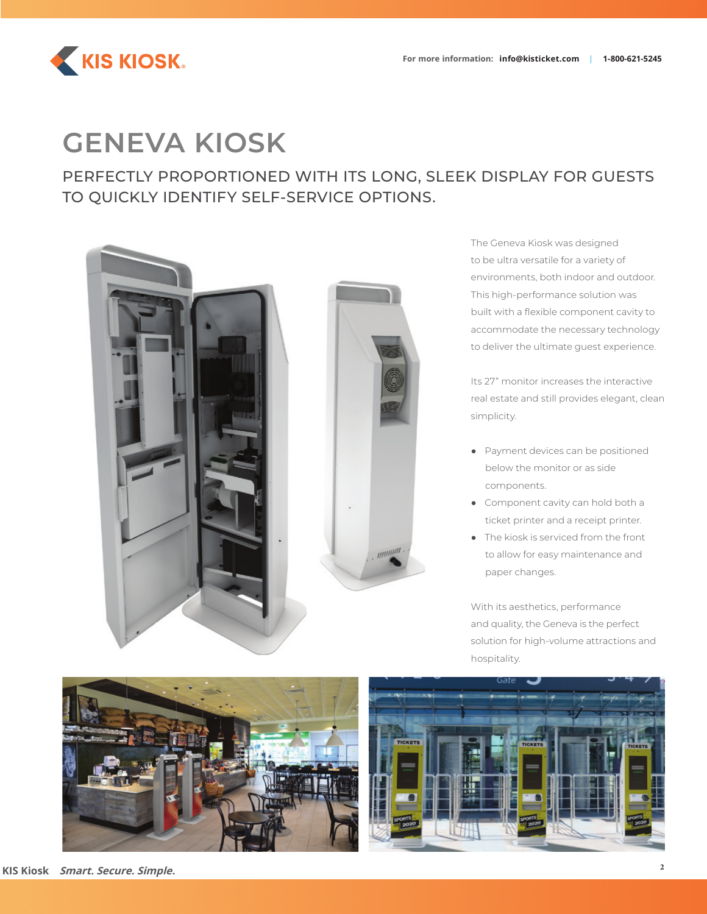

# **GENEVA KIOSK**

PERFECTLY PROPORTIONED WITH ITS LONG, SLEEK DISPLAY FOR GUESTS TO QUICKLY IDENTIFY SELF-SERVICE OPTIONS.



The Geneva Kiosk was designed to be ultra versatile for a variety of environments, both indoor and outdoor. This high-performance solution was built with a flexible component cavity to accommodate the necessary technology to deliver the ultimate guest experience.

Its 27" monitor increases the interactive real estate and still provides elegant, clean simplicity.

- Payment devices can be positioned below the monitor or as side components.
- Component cavity can hold both a ticket printer and a receipt printer.
- The kiosk is serviced from the front to allow for easy maintenance and paper changes.

With its aesthetics, performance and quality, the Geneva is the perfect solution for high-volume attractions and hospitality.